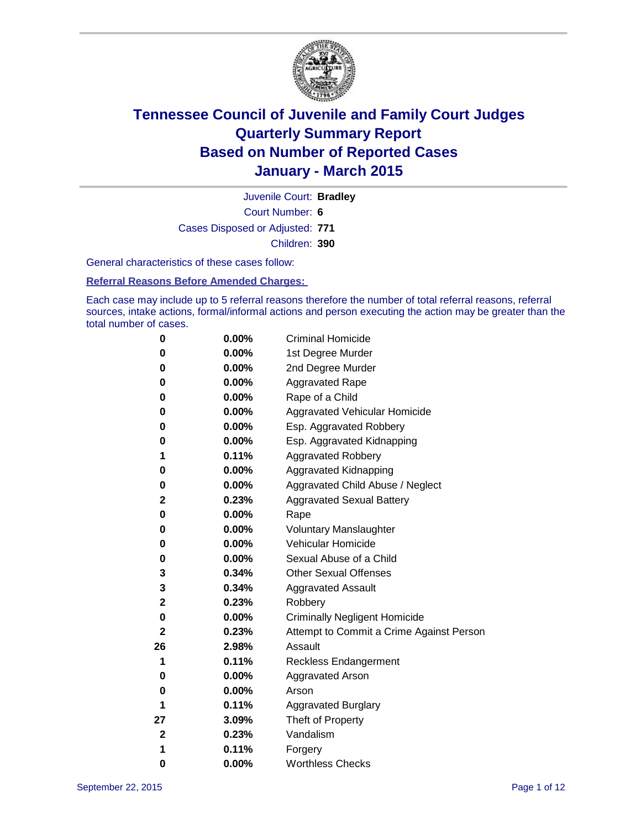

Court Number: **6** Juvenile Court: **Bradley** Cases Disposed or Adjusted: **771** Children: **390**

General characteristics of these cases follow:

### **Referral Reasons Before Amended Charges:**

Each case may include up to 5 referral reasons therefore the number of total referral reasons, referral sources, intake actions, formal/informal actions and person executing the action may be greater than the total number of cases.

| 0           | 0.00%    | <b>Criminal Homicide</b>                 |
|-------------|----------|------------------------------------------|
| 0           | 0.00%    | 1st Degree Murder                        |
| 0           | 0.00%    | 2nd Degree Murder                        |
| 0           | 0.00%    | <b>Aggravated Rape</b>                   |
| 0           | $0.00\%$ | Rape of a Child                          |
| 0           | 0.00%    | Aggravated Vehicular Homicide            |
| 0           | 0.00%    | Esp. Aggravated Robbery                  |
| 0           | 0.00%    | Esp. Aggravated Kidnapping               |
| 1           | 0.11%    | <b>Aggravated Robbery</b>                |
| 0           | 0.00%    | Aggravated Kidnapping                    |
| 0           | 0.00%    | Aggravated Child Abuse / Neglect         |
| 2           | 0.23%    | <b>Aggravated Sexual Battery</b>         |
| 0           | $0.00\%$ | Rape                                     |
| 0           | $0.00\%$ | <b>Voluntary Manslaughter</b>            |
| 0           | 0.00%    | Vehicular Homicide                       |
| 0           | $0.00\%$ | Sexual Abuse of a Child                  |
| 3           | 0.34%    | <b>Other Sexual Offenses</b>             |
| 3           | 0.34%    | <b>Aggravated Assault</b>                |
| 2           | 0.23%    | Robbery                                  |
| 0           | $0.00\%$ | <b>Criminally Negligent Homicide</b>     |
| 2           | 0.23%    | Attempt to Commit a Crime Against Person |
| 26          | 2.98%    | Assault                                  |
| 1           | 0.11%    | <b>Reckless Endangerment</b>             |
| 0           | $0.00\%$ | <b>Aggravated Arson</b>                  |
| 0           | $0.00\%$ | Arson                                    |
| 1           | 0.11%    | <b>Aggravated Burglary</b>               |
| 27          | 3.09%    | Theft of Property                        |
| $\mathbf 2$ | 0.23%    | Vandalism                                |
| 1           | 0.11%    | Forgery                                  |
| 0           | 0.00%    | <b>Worthless Checks</b>                  |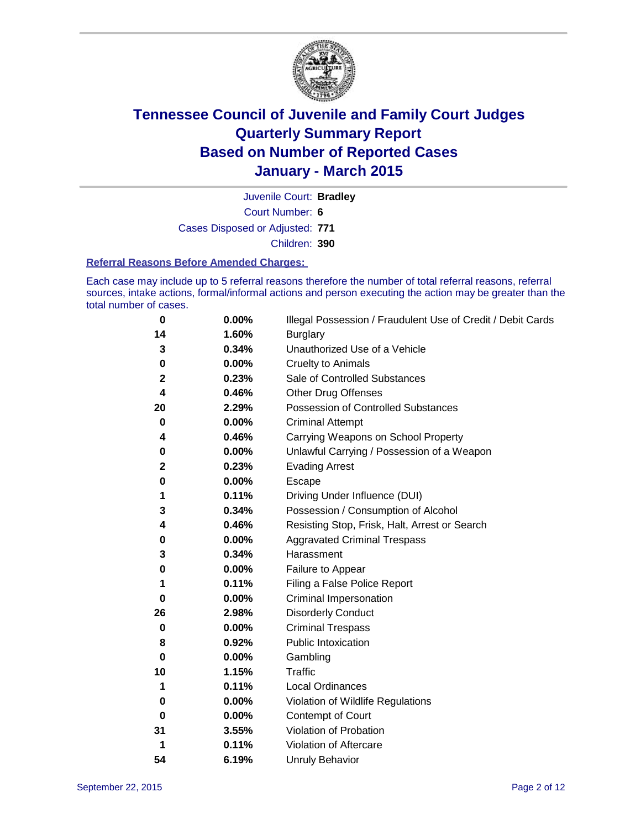

Court Number: **6** Juvenile Court: **Bradley** Cases Disposed or Adjusted: **771** Children: **390**

#### **Referral Reasons Before Amended Charges:**

Each case may include up to 5 referral reasons therefore the number of total referral reasons, referral sources, intake actions, formal/informal actions and person executing the action may be greater than the total number of cases.

| 0           | 0.00% | Illegal Possession / Fraudulent Use of Credit / Debit Cards |
|-------------|-------|-------------------------------------------------------------|
| 14          | 1.60% | <b>Burglary</b>                                             |
| 3           | 0.34% | Unauthorized Use of a Vehicle                               |
| 0           | 0.00% | <b>Cruelty to Animals</b>                                   |
| $\mathbf 2$ | 0.23% | Sale of Controlled Substances                               |
| 4           | 0.46% | <b>Other Drug Offenses</b>                                  |
| 20          | 2.29% | Possession of Controlled Substances                         |
| 0           | 0.00% | <b>Criminal Attempt</b>                                     |
| 4           | 0.46% | Carrying Weapons on School Property                         |
| 0           | 0.00% | Unlawful Carrying / Possession of a Weapon                  |
| $\mathbf 2$ | 0.23% | <b>Evading Arrest</b>                                       |
| $\bf{0}$    | 0.00% | Escape                                                      |
| 1           | 0.11% | Driving Under Influence (DUI)                               |
| 3           | 0.34% | Possession / Consumption of Alcohol                         |
| 4           | 0.46% | Resisting Stop, Frisk, Halt, Arrest or Search               |
| 0           | 0.00% | <b>Aggravated Criminal Trespass</b>                         |
| 3           | 0.34% | Harassment                                                  |
| 0           | 0.00% | Failure to Appear                                           |
| 1           | 0.11% | Filing a False Police Report                                |
| $\bf{0}$    | 0.00% | Criminal Impersonation                                      |
| 26          | 2.98% | <b>Disorderly Conduct</b>                                   |
| $\bf{0}$    | 0.00% | <b>Criminal Trespass</b>                                    |
| 8           | 0.92% | <b>Public Intoxication</b>                                  |
| 0           | 0.00% | Gambling                                                    |
| 10          | 1.15% | <b>Traffic</b>                                              |
| 1           | 0.11% | Local Ordinances                                            |
| 0           | 0.00% | Violation of Wildlife Regulations                           |
| 0           | 0.00% | Contempt of Court                                           |
| 31          | 3.55% | Violation of Probation                                      |
| 1           | 0.11% | Violation of Aftercare                                      |
| 54          | 6.19% | <b>Unruly Behavior</b>                                      |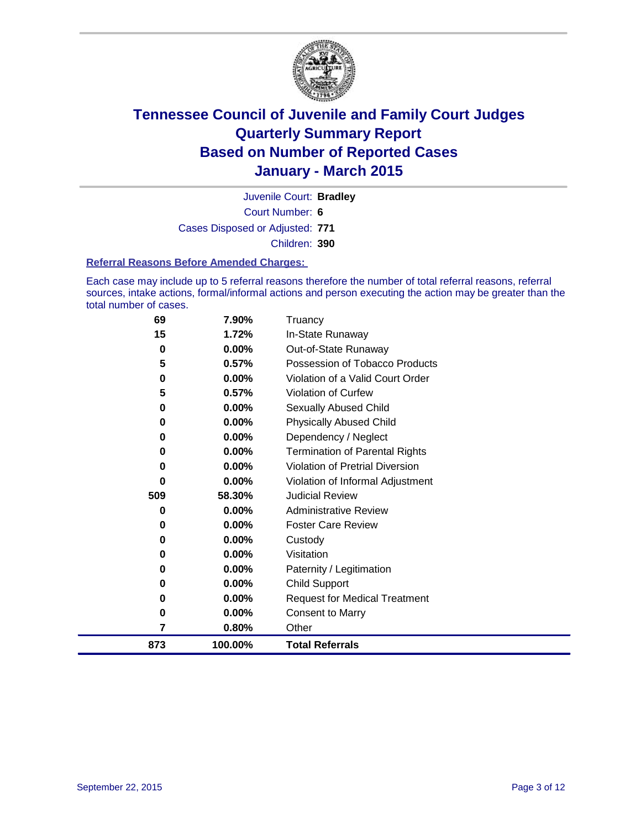

Court Number: **6** Juvenile Court: **Bradley** Cases Disposed or Adjusted: **771** Children: **390**

### **Referral Reasons Before Amended Charges:**

Each case may include up to 5 referral reasons therefore the number of total referral reasons, referral sources, intake actions, formal/informal actions and person executing the action may be greater than the total number of cases.

| 69  | 7.90%    | Truancy                               |
|-----|----------|---------------------------------------|
| 15  | 1.72%    | In-State Runaway                      |
| 0   | $0.00\%$ | Out-of-State Runaway                  |
| 5   | 0.57%    | Possession of Tobacco Products        |
| 0   | $0.00\%$ | Violation of a Valid Court Order      |
| 5   | 0.57%    | <b>Violation of Curfew</b>            |
| 0   | 0.00%    | Sexually Abused Child                 |
| 0   | 0.00%    | <b>Physically Abused Child</b>        |
| 0   | $0.00\%$ | Dependency / Neglect                  |
| 0   | $0.00\%$ | <b>Termination of Parental Rights</b> |
| 0   | $0.00\%$ | Violation of Pretrial Diversion       |
| 0   | 0.00%    | Violation of Informal Adjustment      |
| 509 | 58.30%   | <b>Judicial Review</b>                |
| 0   | $0.00\%$ | <b>Administrative Review</b>          |
| 0   | $0.00\%$ | <b>Foster Care Review</b>             |
| 0   | $0.00\%$ | Custody                               |
| 0   | $0.00\%$ | Visitation                            |
| 0   | $0.00\%$ | Paternity / Legitimation              |
| 0   | $0.00\%$ | <b>Child Support</b>                  |
| 0   | $0.00\%$ | <b>Request for Medical Treatment</b>  |
| 0   | 0.00%    | <b>Consent to Marry</b>               |
| 7   | 0.80%    | Other                                 |
| 873 | 100.00%  | <b>Total Referrals</b>                |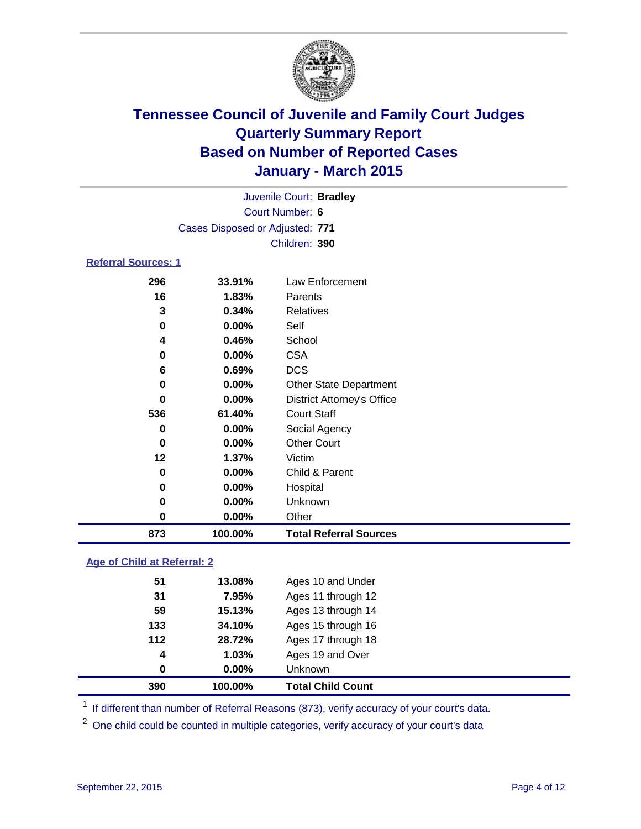

| Juvenile Court: Bradley         |  |
|---------------------------------|--|
| Court Number: 6                 |  |
| Cases Disposed or Adjusted: 771 |  |
| Children: 390                   |  |
| <b>Referral Sources: 1</b>      |  |

| 873      | 100.00%  | <b>Total Referral Sources</b>     |
|----------|----------|-----------------------------------|
| 0        | $0.00\%$ | Other                             |
| $\bf{0}$ | 0.00%    | Unknown                           |
| 0        | $0.00\%$ | Hospital                          |
| 0        | 0.00%    | Child & Parent                    |
| 12       | 1.37%    | Victim                            |
| 0        | 0.00%    | <b>Other Court</b>                |
| 0        | $0.00\%$ | Social Agency                     |
| 536      | 61.40%   | Court Staff                       |
| 0        | $0.00\%$ | <b>District Attorney's Office</b> |
| 0        | $0.00\%$ | <b>Other State Department</b>     |
| 6        | 0.69%    | <b>DCS</b>                        |
| 0        | 0.00%    | <b>CSA</b>                        |
| 4        | 0.46%    | School                            |
| 0        | 0.00%    | Self                              |
| 3        | 0.34%    | <b>Relatives</b>                  |
| 16       | 1.83%    | Parents                           |
| 296      | 33.91%   | Law Enforcement                   |

### **Age of Child at Referral: 2**

| 390   | 100.00%  | <b>Total Child Count</b> |  |
|-------|----------|--------------------------|--|
| 0     | $0.00\%$ | <b>Unknown</b>           |  |
| 4     | 1.03%    | Ages 19 and Over         |  |
| $112$ | 28.72%   | Ages 17 through 18       |  |
| 133   | 34.10%   | Ages 15 through 16       |  |
| 59    | 15.13%   | Ages 13 through 14       |  |
| 31    | 7.95%    | Ages 11 through 12       |  |
| 51    | 13.08%   | Ages 10 and Under        |  |
|       |          |                          |  |

<sup>1</sup> If different than number of Referral Reasons (873), verify accuracy of your court's data.

One child could be counted in multiple categories, verify accuracy of your court's data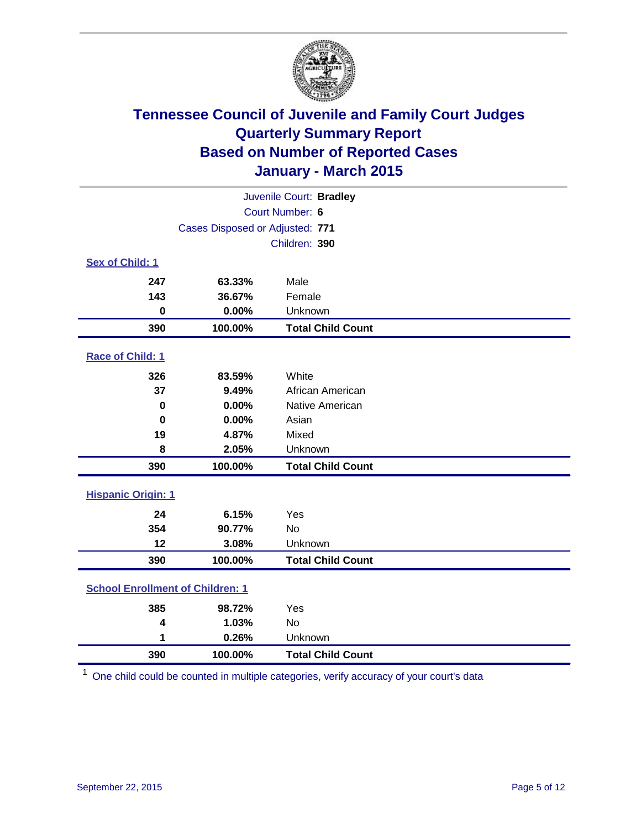

|                                         | Juvenile Court: Bradley         |                          |  |  |  |  |  |
|-----------------------------------------|---------------------------------|--------------------------|--|--|--|--|--|
| Court Number: 6                         |                                 |                          |  |  |  |  |  |
|                                         | Cases Disposed or Adjusted: 771 |                          |  |  |  |  |  |
|                                         |                                 | Children: 390            |  |  |  |  |  |
| <b>Sex of Child: 1</b>                  |                                 |                          |  |  |  |  |  |
| 247                                     | 63.33%                          | Male                     |  |  |  |  |  |
| 143                                     | 36.67%                          | Female                   |  |  |  |  |  |
| $\bf{0}$                                | 0.00%                           | Unknown                  |  |  |  |  |  |
| 390                                     | 100.00%                         | <b>Total Child Count</b> |  |  |  |  |  |
| Race of Child: 1                        |                                 |                          |  |  |  |  |  |
| 326                                     | 83.59%                          | White                    |  |  |  |  |  |
| 37                                      | 9.49%                           | African American         |  |  |  |  |  |
| $\bf{0}$                                | 0.00%                           | Native American          |  |  |  |  |  |
| $\mathbf 0$                             | 0.00%                           | Asian                    |  |  |  |  |  |
| 19                                      | 4.87%                           | Mixed                    |  |  |  |  |  |
| 8                                       | 2.05%                           | Unknown                  |  |  |  |  |  |
| 390                                     | 100.00%                         | <b>Total Child Count</b> |  |  |  |  |  |
| <b>Hispanic Origin: 1</b>               |                                 |                          |  |  |  |  |  |
| 24                                      | 6.15%                           | Yes                      |  |  |  |  |  |
| 354                                     | 90.77%                          | No                       |  |  |  |  |  |
| 12                                      | 3.08%                           | Unknown                  |  |  |  |  |  |
| 390                                     | 100.00%                         | <b>Total Child Count</b> |  |  |  |  |  |
| <b>School Enrollment of Children: 1</b> |                                 |                          |  |  |  |  |  |
| 385                                     | 98.72%                          | Yes                      |  |  |  |  |  |
| 4                                       | 1.03%                           | No                       |  |  |  |  |  |
| 1                                       | 0.26%<br>Unknown                |                          |  |  |  |  |  |
| 390                                     | 100.00%                         | <b>Total Child Count</b> |  |  |  |  |  |

One child could be counted in multiple categories, verify accuracy of your court's data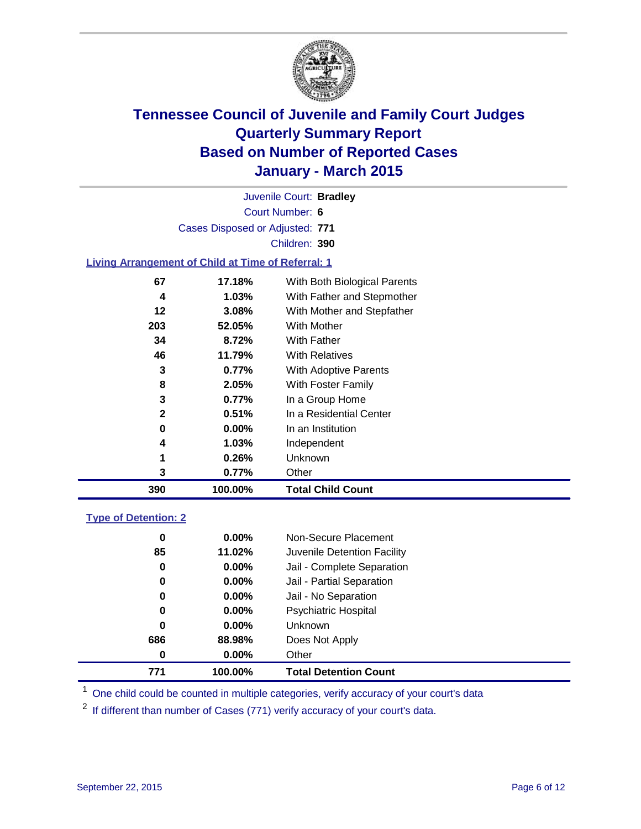

Court Number: **6** Juvenile Court: **Bradley** Cases Disposed or Adjusted: **771** Children: **390**

### **Living Arrangement of Child at Time of Referral: 1**

| 390          | 100.00%  | <b>Total Child Count</b>     |
|--------------|----------|------------------------------|
| 3            | 0.77%    | Other                        |
| 1            | 0.26%    | Unknown                      |
| 4            | $1.03\%$ | Independent                  |
| 0            | $0.00\%$ | In an Institution            |
| $\mathbf{2}$ | 0.51%    | In a Residential Center      |
| 3            | 0.77%    | In a Group Home              |
| 8            | 2.05%    | With Foster Family           |
| 3            | 0.77%    | With Adoptive Parents        |
| 46           | 11.79%   | <b>With Relatives</b>        |
| 34           | 8.72%    | With Father                  |
| 203          | 52.05%   | <b>With Mother</b>           |
| 12           | 3.08%    | With Mother and Stepfather   |
| 4            | $1.03\%$ | With Father and Stepmother   |
| 67           | 17.18%   | With Both Biological Parents |
|              |          |                              |

#### **Type of Detention: 2**

| 771 | 100.00%  | <b>Total Detention Count</b> |
|-----|----------|------------------------------|
| 0   | $0.00\%$ | Other                        |
| 686 | 88.98%   | Does Not Apply               |
| 0   | $0.00\%$ | <b>Unknown</b>               |
| 0   | $0.00\%$ | Psychiatric Hospital         |
| 0   | $0.00\%$ | Jail - No Separation         |
| 0   | 0.00%    | Jail - Partial Separation    |
| 0   | $0.00\%$ | Jail - Complete Separation   |
| 85  | 11.02%   | Juvenile Detention Facility  |
| 0   | $0.00\%$ | Non-Secure Placement         |

<sup>1</sup> One child could be counted in multiple categories, verify accuracy of your court's data

If different than number of Cases (771) verify accuracy of your court's data.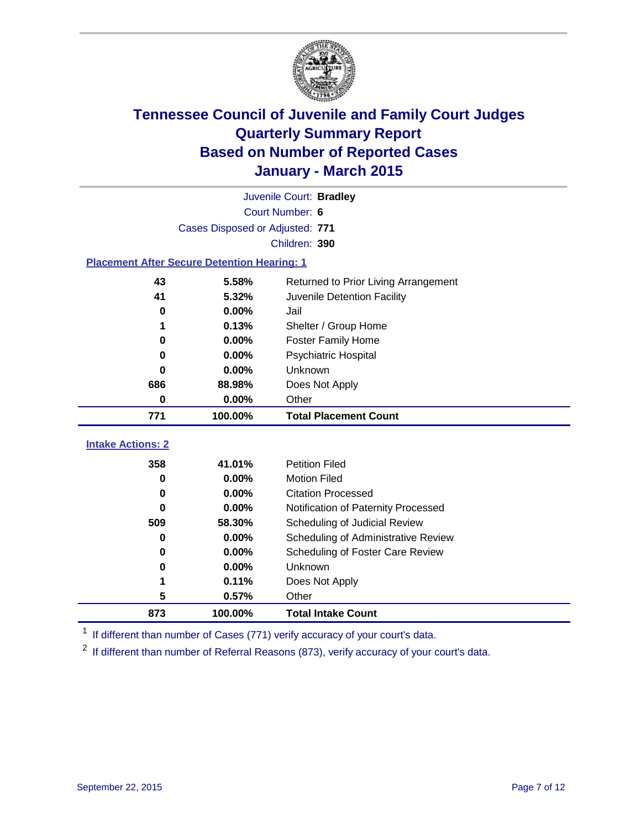

|                                                    | Juvenile Court: Bradley          |                                      |  |  |  |  |
|----------------------------------------------------|----------------------------------|--------------------------------------|--|--|--|--|
|                                                    | Court Number: 6                  |                                      |  |  |  |  |
|                                                    | Cases Disposed or Adjusted: 771  |                                      |  |  |  |  |
| Children: 390                                      |                                  |                                      |  |  |  |  |
| <b>Placement After Secure Detention Hearing: 1</b> |                                  |                                      |  |  |  |  |
| 43                                                 | 5.58%                            | Returned to Prior Living Arrangement |  |  |  |  |
| 41                                                 | 5.32%                            | Juvenile Detention Facility          |  |  |  |  |
| 0                                                  | 0.00%                            | Jail                                 |  |  |  |  |
| 1                                                  | 0.13%                            | Shelter / Group Home                 |  |  |  |  |
| $\bf{0}$                                           | 0.00%                            | <b>Foster Family Home</b>            |  |  |  |  |
| 0                                                  | 0.00%                            | <b>Psychiatric Hospital</b>          |  |  |  |  |
| 0                                                  | 0.00%                            | Unknown<br>Does Not Apply            |  |  |  |  |
| 686                                                | 88.98%                           |                                      |  |  |  |  |
| 0                                                  | 0.00%<br>Other                   |                                      |  |  |  |  |
| 771                                                | 100.00%                          | <b>Total Placement Count</b>         |  |  |  |  |
| <b>Intake Actions: 2</b>                           |                                  |                                      |  |  |  |  |
| 358                                                | 41.01%                           | <b>Petition Filed</b>                |  |  |  |  |
| $\bf{0}$                                           | 0.00%                            | <b>Motion Filed</b>                  |  |  |  |  |
| $\bf{0}$                                           | 0.00%                            | <b>Citation Processed</b>            |  |  |  |  |
| 0                                                  | 0.00%                            | Notification of Paternity Processed  |  |  |  |  |
| 509                                                | 58.30%                           | Scheduling of Judicial Review        |  |  |  |  |
| 0                                                  | 0.00%                            | Scheduling of Administrative Review  |  |  |  |  |
| 0                                                  | Scheduling of Foster Care Review |                                      |  |  |  |  |
| 0                                                  | 0.00%                            | Unknown                              |  |  |  |  |
| 1                                                  | Does Not Apply                   |                                      |  |  |  |  |
| 5                                                  | 0.57%                            | Other                                |  |  |  |  |
| 873                                                | 100.00%                          | <b>Total Intake Count</b>            |  |  |  |  |

<sup>1</sup> If different than number of Cases (771) verify accuracy of your court's data.

If different than number of Referral Reasons (873), verify accuracy of your court's data.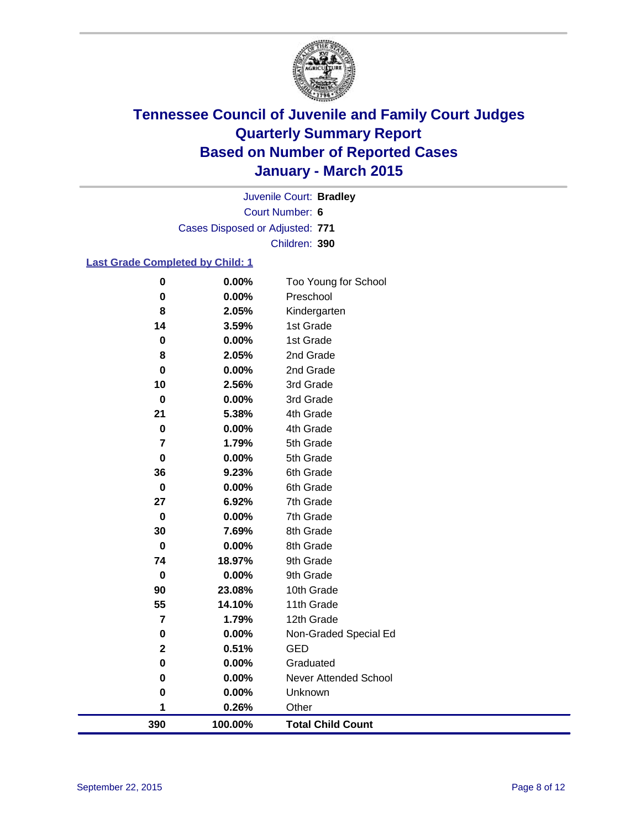

Court Number: **6** Juvenile Court: **Bradley** Cases Disposed or Adjusted: **771** Children: **390**

### **Last Grade Completed by Child: 1**

| $\bf{0}$       | $0.00\%$ | Too Young for School     |
|----------------|----------|--------------------------|
| 0              | 0.00%    | Preschool                |
| 8              | 2.05%    | Kindergarten             |
| 14             | 3.59%    | 1st Grade                |
| $\pmb{0}$      | 0.00%    | 1st Grade                |
| 8              | 2.05%    | 2nd Grade                |
| 0              | $0.00\%$ | 2nd Grade                |
| 10             | 2.56%    | 3rd Grade                |
| $\mathbf 0$    | 0.00%    | 3rd Grade                |
| 21             | 5.38%    | 4th Grade                |
| 0              | 0.00%    | 4th Grade                |
| $\overline{7}$ | 1.79%    | 5th Grade                |
| $\pmb{0}$      | 0.00%    | 5th Grade                |
| 36             | 9.23%    | 6th Grade                |
| $\pmb{0}$      | 0.00%    | 6th Grade                |
| 27             | 6.92%    | 7th Grade                |
| $\mathbf 0$    | 0.00%    | 7th Grade                |
| 30             | 7.69%    | 8th Grade                |
| $\mathbf 0$    | 0.00%    | 8th Grade                |
| 74             | 18.97%   | 9th Grade                |
| $\mathbf 0$    | 0.00%    | 9th Grade                |
| 90             | 23.08%   | 10th Grade               |
| 55             | 14.10%   | 11th Grade               |
| $\overline{7}$ | 1.79%    | 12th Grade               |
| $\pmb{0}$      | 0.00%    | Non-Graded Special Ed    |
| $\mathbf 2$    | 0.51%    | <b>GED</b>               |
| $\pmb{0}$      | 0.00%    | Graduated                |
| $\pmb{0}$      | 0.00%    | Never Attended School    |
| 0              | 0.00%    | Unknown                  |
| 1              | 0.26%    | Other                    |
| 390            | 100.00%  | <b>Total Child Count</b> |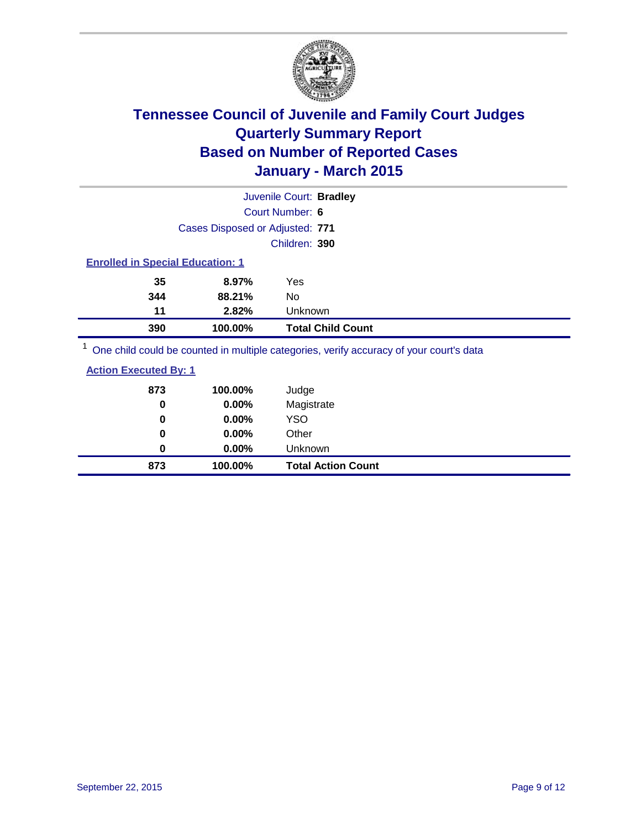

|                                         |                                 | Juvenile Court: Bradley |                          |  |  |
|-----------------------------------------|---------------------------------|-------------------------|--------------------------|--|--|
|                                         | Court Number: 6                 |                         |                          |  |  |
|                                         | Cases Disposed or Adjusted: 771 |                         |                          |  |  |
|                                         |                                 | Children: 390           |                          |  |  |
| <b>Enrolled in Special Education: 1</b> |                                 |                         |                          |  |  |
| 35                                      | 8.97%                           | Yes                     |                          |  |  |
| 344                                     | 88.21%                          | No                      |                          |  |  |
| 11                                      | 2.82%                           | <b>Unknown</b>          |                          |  |  |
| 390                                     | 100.00%                         |                         | <b>Total Child Count</b> |  |  |
| $1 -$<br>.                              |                                 |                         |                          |  |  |

<sup>1</sup> One child could be counted in multiple categories, verify accuracy of your court's data

|--|

| 873 | 100.00%  | Judge                     |
|-----|----------|---------------------------|
| 0   | 0.00%    | Magistrate                |
| 0   | $0.00\%$ | <b>YSO</b>                |
| 0   | $0.00\%$ | Other                     |
| 0   | $0.00\%$ | Unknown                   |
| 873 | 100.00%  | <b>Total Action Count</b> |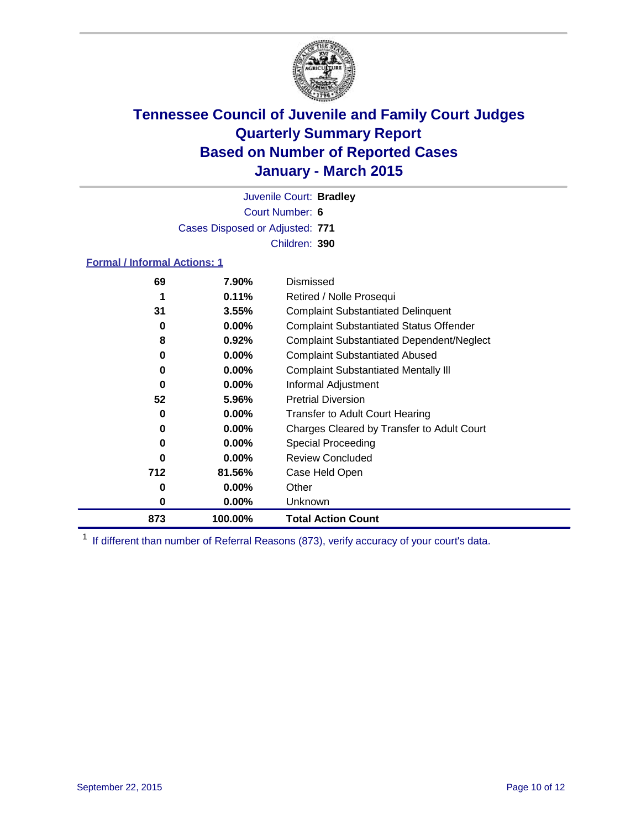

Court Number: **6** Juvenile Court: **Bradley** Cases Disposed or Adjusted: **771** Children: **390**

### **Formal / Informal Actions: 1**

| 69  | 7.90%    | Dismissed                                        |
|-----|----------|--------------------------------------------------|
| 1   | 0.11%    | Retired / Nolle Prosequi                         |
| 31  | 3.55%    | <b>Complaint Substantiated Delinquent</b>        |
| 0   | $0.00\%$ | <b>Complaint Substantiated Status Offender</b>   |
| 8   | $0.92\%$ | <b>Complaint Substantiated Dependent/Neglect</b> |
| 0   | $0.00\%$ | <b>Complaint Substantiated Abused</b>            |
| 0   | $0.00\%$ | <b>Complaint Substantiated Mentally III</b>      |
| 0   | $0.00\%$ | Informal Adjustment                              |
| 52  | 5.96%    | <b>Pretrial Diversion</b>                        |
| 0   | $0.00\%$ | <b>Transfer to Adult Court Hearing</b>           |
| 0   | $0.00\%$ | Charges Cleared by Transfer to Adult Court       |
| 0   | $0.00\%$ | Special Proceeding                               |
| O   | $0.00\%$ | <b>Review Concluded</b>                          |
| 712 | 81.56%   | Case Held Open                                   |
| 0   | $0.00\%$ | Other                                            |
| 0   | $0.00\%$ | Unknown                                          |
| 873 | 100.00%  | <b>Total Action Count</b>                        |

<sup>1</sup> If different than number of Referral Reasons (873), verify accuracy of your court's data.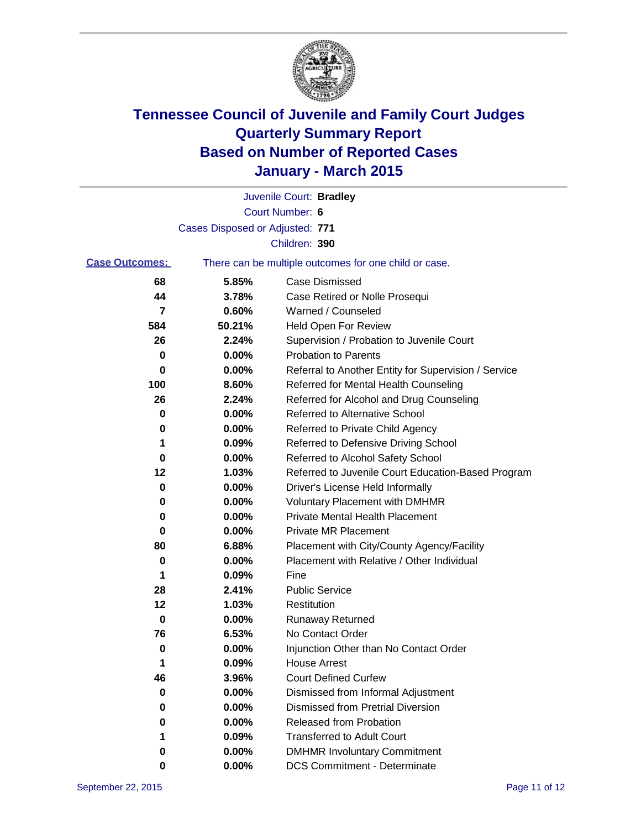

|                       |                                 | Juvenile Court: Bradley                               |
|-----------------------|---------------------------------|-------------------------------------------------------|
|                       |                                 | Court Number: 6                                       |
|                       | Cases Disposed or Adjusted: 771 |                                                       |
|                       |                                 | Children: 390                                         |
| <b>Case Outcomes:</b> |                                 | There can be multiple outcomes for one child or case. |
| 68                    | 5.85%                           | <b>Case Dismissed</b>                                 |
| 44                    | 3.78%                           | Case Retired or Nolle Prosequi                        |
| 7                     | 0.60%                           | Warned / Counseled                                    |
| 584                   | 50.21%                          | Held Open For Review                                  |
| 26                    | 2.24%                           | Supervision / Probation to Juvenile Court             |
| 0                     | 0.00%                           | <b>Probation to Parents</b>                           |
| 0                     | 0.00%                           | Referral to Another Entity for Supervision / Service  |
| 100                   | 8.60%                           | Referred for Mental Health Counseling                 |
| 26                    | 2.24%                           | Referred for Alcohol and Drug Counseling              |
| 0                     | 0.00%                           | Referred to Alternative School                        |
| 0                     | 0.00%                           | Referred to Private Child Agency                      |
| 1                     | 0.09%                           | Referred to Defensive Driving School                  |
| 0                     | 0.00%                           | Referred to Alcohol Safety School                     |
| 12                    | 1.03%                           | Referred to Juvenile Court Education-Based Program    |
| 0                     | 0.00%                           | Driver's License Held Informally                      |
| 0                     | 0.00%                           | <b>Voluntary Placement with DMHMR</b>                 |
| 0                     | 0.00%                           | <b>Private Mental Health Placement</b>                |
| 0                     | 0.00%                           | <b>Private MR Placement</b>                           |
| 80                    | 6.88%                           | Placement with City/County Agency/Facility            |
| 0                     | 0.00%                           | Placement with Relative / Other Individual            |
| 1                     | 0.09%                           | Fine                                                  |
| 28                    | 2.41%                           | <b>Public Service</b>                                 |
| 12                    | 1.03%                           | Restitution                                           |
| 0                     | 0.00%                           | <b>Runaway Returned</b>                               |
| 76                    | 6.53%                           | No Contact Order                                      |
| 0                     | 0.00%                           | Injunction Other than No Contact Order                |
| 1                     | 0.09%                           | <b>House Arrest</b>                                   |
| 46                    | 3.96%                           | <b>Court Defined Curfew</b>                           |
| 0                     | 0.00%                           | Dismissed from Informal Adjustment                    |
| 0                     | 0.00%                           | <b>Dismissed from Pretrial Diversion</b>              |
| 0                     | 0.00%                           | Released from Probation                               |
| 1                     | 0.09%                           | <b>Transferred to Adult Court</b>                     |
| o                     | 0.00%                           | <b>DMHMR Involuntary Commitment</b>                   |
| 0                     | 0.00%                           | <b>DCS Commitment - Determinate</b>                   |